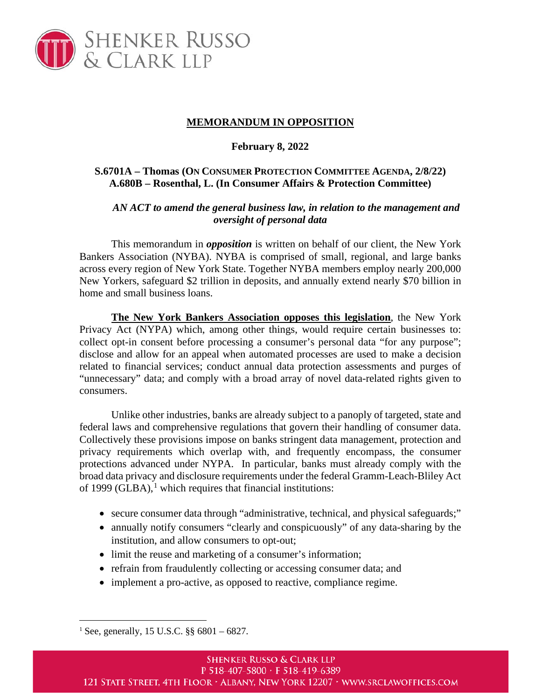

## **MEMORANDUM IN OPPOSITION**

## **February 8, 2022**

## **S.6701A – Thomas (ON CONSUMER PROTECTION COMMITTEE AGENDA, 2/8/22) A.680B – Rosenthal, L. (In Consumer Affairs & Protection Committee)**

## *AN ACT to amend the general business law, in relation to the management and oversight of personal data*

This memorandum in *opposition* is written on behalf of our client, the New York Bankers Association (NYBA). NYBA is comprised of small, regional, and large banks across every region of New York State. Together NYBA members employ nearly 200,000 New Yorkers, safeguard \$2 trillion in deposits, and annually extend nearly \$70 billion in home and small business loans.

**The New York Bankers Association opposes this legislation**, the New York Privacy Act (NYPA) which, among other things, would require certain businesses to: collect opt-in consent before processing a consumer's personal data "for any purpose"; disclose and allow for an appeal when automated processes are used to make a decision related to financial services; conduct annual data protection assessments and purges of "unnecessary" data; and comply with a broad array of novel data-related rights given to consumers.

Unlike other industries, banks are already subject to a panoply of targeted, state and federal laws and comprehensive regulations that govern their handling of consumer data. Collectively these provisions impose on banks stringent data management, protection and privacy requirements which overlap with, and frequently encompass, the consumer protections advanced under NYPA. In particular, banks must already comply with the broad data privacy and disclosure requirements under the federal Gramm-Leach-Bliley Act of [1](#page-0-0)999 (GLBA), $<sup>1</sup>$  which requires that financial institutions:</sup>

- secure consumer data through "administrative, technical, and physical safeguards;"
- annually notify consumers "clearly and conspicuously" of any data-sharing by the institution, and allow consumers to opt-out;
- limit the reuse and marketing of a consumer's information;
- refrain from fraudulently collecting or accessing consumer data; and
- implement a pro-active, as opposed to reactive, compliance regime.

<span id="page-0-0"></span><sup>&</sup>lt;sup>1</sup> See, generally, 15 U.S.C.  $\S$ § 6801 – 6827.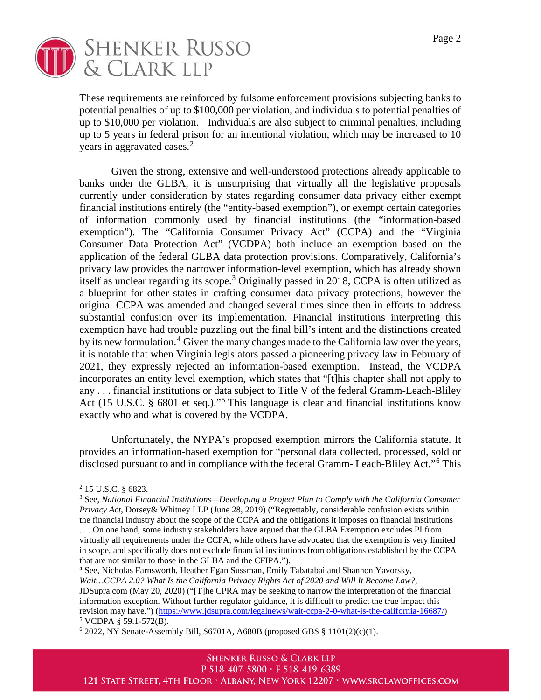

These requirements are reinforced by fulsome enforcement provisions subjecting banks to potential penalties of up to \$100,000 per violation, and individuals to potential penalties of up to \$10,000 per violation. Individuals are also subject to criminal penalties, including up to 5 years in federal prison for an intentional violation, which may be increased to 10 years in aggravated cases.<sup>[2](#page-1-0)</sup>

Given the strong, extensive and well-understood protections already applicable to banks under the GLBA, it is unsurprising that virtually all the legislative proposals currently under consideration by states regarding consumer data privacy either exempt financial institutions entirely (the "entity-based exemption"), or exempt certain categories of information commonly used by financial institutions (the "information-based exemption"). The "California Consumer Privacy Act" (CCPA) and the "Virginia Consumer Data Protection Act" (VCDPA) both include an exemption based on the application of the federal GLBA data protection provisions. Comparatively, California's privacy law provides the narrower information-level exemption, which has already shown itself as unclear regarding its scope.<sup>[3](#page-1-1)</sup> Originally passed in 2018, CCPA is often utilized as a blueprint for other states in crafting consumer data privacy protections, however the original CCPA was amended and changed several times since then in efforts to address substantial confusion over its implementation. Financial institutions interpreting this exemption have had trouble puzzling out the final bill's intent and the distinctions created by its new formulation.<sup>[4](#page-1-2)</sup> Given the many changes made to the California law over the years, it is notable that when Virginia legislators passed a pioneering privacy law in February of 2021, they expressly rejected an information-based exemption. Instead, the VCDPA incorporates an entity level exemption, which states that "[t]his chapter shall not apply to any . . . financial institutions or data subject to Title V of the federal Gramm-Leach-Bliley Act (1[5](#page-1-3) U.S.C. § 6801 et seq.)."<sup>5</sup> This language is clear and financial institutions know exactly who and what is covered by the VCDPA.

Unfortunately, the NYPA's proposed exemption mirrors the California statute. It provides an information-based exemption for "personal data collected, processed, sold or disclosed pursuant to and in compliance with the federal Gramm- Leach-Bliley Act."[6](#page-1-4) This

<span id="page-1-0"></span><sup>2</sup> 15 U.S.C. § 6823.

<span id="page-1-1"></span><sup>3</sup> See, *National Financial Institutions—Developing a Project Plan to Comply with the California Consumer Privacy Act*, Dorsey& Whitney LLP (June 28, 2019) ("Regrettably, considerable confusion exists within the financial industry about the scope of the CCPA and the obligations it imposes on financial institutions

<sup>. . .</sup> On one hand, some industry stakeholders have argued that the GLBA Exemption excludes PI from virtually all requirements under the CCPA, while others have advocated that the exemption is very limited in scope, and specifically does not exclude financial institutions from obligations established by the CCPA that are not similar to those in the GLBA and the CFIPA.").

<span id="page-1-2"></span><sup>4</sup> See, Nicholas Farnsworth, Heather Egan Sussman, Emily Tabatabai and Shannon Yavorsky, *Wait…CCPA 2.0? What Is the California Privacy Rights Act of 2020 and Will It Become Law?*, JDSupra.com (May 20, 2020) ("[T]he CPRA may be seeking to narrow the interpretation of the financial information exception. Without further regulator guidance, it is difficult to predict the true impact this revision may have.") [\(https://www.jdsupra.com/legalnews/wait-ccpa-2-0-what-is-the-california-16687/\)](https://www.jdsupra.com/legalnews/wait-ccpa-2-0-what-is-the-california-16687/)  $5$  VCDPA § 59.1-572(B).

<span id="page-1-4"></span><span id="page-1-3"></span> $6$  2022, NY Senate-Assembly Bill, S6701A, A680B (proposed GBS  $§$  1101(2)(c)(1).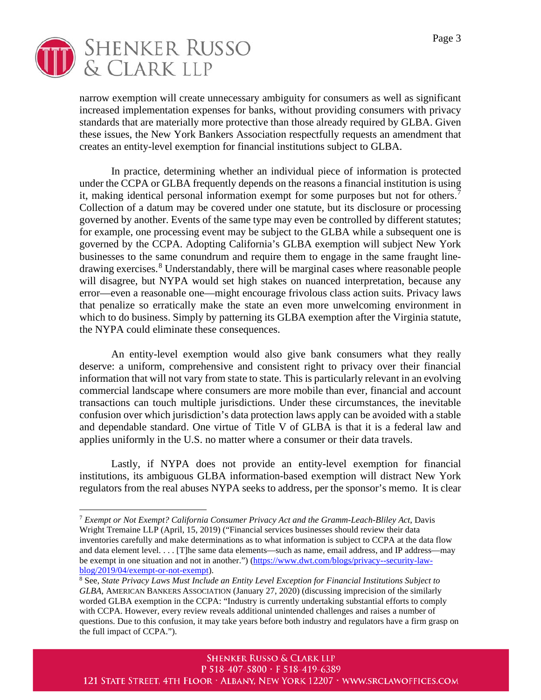

narrow exemption will create unnecessary ambiguity for consumers as well as significant increased implementation expenses for banks, without providing consumers with privacy standards that are materially more protective than those already required by GLBA. Given these issues, the New York Bankers Association respectfully requests an amendment that creates an entity-level exemption for financial institutions subject to GLBA.

In practice, determining whether an individual piece of information is protected under the CCPA or GLBA frequently depends on the reasons a financial institution is using it, making identical personal information exempt for some purposes but not for others.<sup>[7](#page-2-0)</sup> Collection of a datum may be covered under one statute, but its disclosure or processing governed by another. Events of the same type may even be controlled by different statutes; for example, one processing event may be subject to the GLBA while a subsequent one is governed by the CCPA. Adopting California's GLBA exemption will subject New York businesses to the same conundrum and require them to engage in the same fraught linedrawing exercises. [8](#page-2-1) Understandably, there will be marginal cases where reasonable people will disagree, but NYPA would set high stakes on nuanced interpretation, because any error—even a reasonable one—might encourage frivolous class action suits. Privacy laws that penalize so erratically make the state an even more unwelcoming environment in which to do business. Simply by patterning its GLBA exemption after the Virginia statute, the NYPA could eliminate these consequences.

An entity-level exemption would also give bank consumers what they really deserve: a uniform, comprehensive and consistent right to privacy over their financial information that will not vary from state to state. This is particularly relevant in an evolving commercial landscape where consumers are more mobile than ever, financial and account transactions can touch multiple jurisdictions. Under these circumstances, the inevitable confusion over which jurisdiction's data protection laws apply can be avoided with a stable and dependable standard. One virtue of Title V of GLBA is that it is a federal law and applies uniformly in the U.S. no matter where a consumer or their data travels.

Lastly, if NYPA does not provide an entity-level exemption for financial institutions, its ambiguous GLBA information-based exemption will distract New York regulators from the real abuses NYPA seeks to address, per the sponsor's memo. It is clear

<span id="page-2-0"></span><sup>7</sup> *Exempt or Not Exempt? California Consumer Privacy Act and the Gramm-Leach-Bliley Act*, Davis Wright Tremaine LLP (April, 15, 2019) ("Financial services businesses should review their data inventories carefully and make determinations as to what information is subject to CCPA at the data flow and data element level. . . . [T]he same data elements—such as name, email address, and IP address—may be exempt in one situation and not in another.") [\(https://www.dwt.com/blogs/privacy--security-law](https://www.dwt.com/blogs/privacy--security-law-blog/2019/04/exempt-or-not-exempt)[blog/2019/04/exempt-or-not-exempt\)](https://www.dwt.com/blogs/privacy--security-law-blog/2019/04/exempt-or-not-exempt).<br><sup>8</sup> See, *State Privacy Laws Must Include an Entity Level Exception for Financial Institutions Subject to* 

<span id="page-2-1"></span>*GLBA*, AMERICAN BANKERS ASSOCIATION (January 27, 2020) (discussing imprecision of the similarly worded GLBA exemption in the CCPA: "Industry is currently undertaking substantial efforts to comply with CCPA. However, every review reveals additional unintended challenges and raises a number of questions. Due to this confusion, it may take years before both industry and regulators have a firm grasp on the full impact of CCPA.").